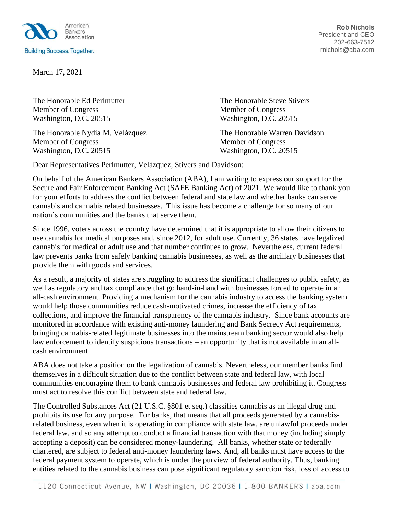

March 17, 2021

The Honorable Ed Perlmutter The Honorable Steve Stivers Member of Congress Member of Congress Washington, D.C. 20515 Washington, D.C. 20515

The Honorable Nydia M. Velázquez The Honorable Warren Davidson Member of Congress Member of Congress Washington, D.C. 20515 Washington, D.C. 20515

**Rob Nichols** President and CEO 202-663-7512 rnichols@aba.com

Dear Representatives Perlmutter, Velázquez, Stivers and Davidson:

On behalf of the American Bankers Association (ABA), I am writing to express our support for the Secure and Fair Enforcement Banking Act (SAFE Banking Act) of 2021. We would like to thank you for your efforts to address the conflict between federal and state law and whether banks can serve cannabis and cannabis related businesses. This issue has become a challenge for so many of our nation's communities and the banks that serve them.

Since 1996, voters across the country have determined that it is appropriate to allow their citizens to use cannabis for medical purposes and, since 2012, for adult use. Currently, 36 states have legalized cannabis for medical or adult use and that number continues to grow. Nevertheless, current federal law prevents banks from safely banking cannabis businesses, as well as the ancillary businesses that provide them with goods and services.

As a result, a majority of states are struggling to address the significant challenges to public safety, as well as regulatory and tax compliance that go hand-in-hand with businesses forced to operate in an all-cash environment. Providing a mechanism for the cannabis industry to access the banking system would help those communities reduce cash-motivated crimes, increase the efficiency of tax collections, and improve the financial transparency of the cannabis industry. Since bank accounts are monitored in accordance with existing anti-money laundering and Bank Secrecy Act requirements, bringing cannabis-related legitimate businesses into the mainstream banking sector would also help law enforcement to identify suspicious transactions – an opportunity that is not available in an allcash environment.

ABA does not take a position on the legalization of cannabis. Nevertheless, our member banks find themselves in a difficult situation due to the conflict between state and federal law, with local communities encouraging them to bank cannabis businesses and federal law prohibiting it. Congress must act to resolve this conflict between state and federal law.

The Controlled Substances Act (21 U.S.C. §801 et seq.) classifies cannabis as an illegal drug and prohibits its use for any purpose. For banks, that means that all proceeds generated by a cannabisrelated business, even when it is operating in compliance with state law, are unlawful proceeds under federal law, and so any attempt to conduct a financial transaction with that money (including simply accepting a deposit) can be considered money-laundering. All banks, whether state or federally chartered, are subject to federal anti-money laundering laws. And, all banks must have access to the federal payment system to operate, which is under the purview of federal authority. Thus, banking entities related to the cannabis business can pose significant regulatory sanction risk, loss of access to